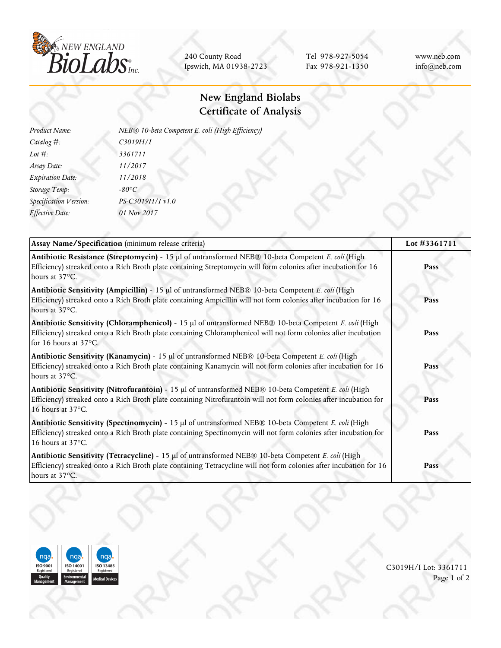

240 County Road Ipswich, MA 01938-2723

Tel 978-927-5054 Fax 978-921-1350 www.neb.com info@neb.com

## **New England Biolabs Certificate of Analysis**

| Product Name:           | NEB® 10-beta Competent E. coli (High Efficiency) |
|-------------------------|--------------------------------------------------|
| Catalog $#$ :           | C3019H/I                                         |
| Lot $#$ :               | 3361711                                          |
| Assay Date:             | 11/2017                                          |
| <b>Expiration Date:</b> | 11/2018                                          |
| Storage Temp:           | $-80^{\circ}C$                                   |
| Specification Version:  | PS-C3019H/I v1.0                                 |
| Effective Date:         | 01 Nov 2017                                      |
|                         |                                                  |

| Assay Name/Specification (minimum release criteria)                                                                                                                                                                                                | Lot #3361711 |
|----------------------------------------------------------------------------------------------------------------------------------------------------------------------------------------------------------------------------------------------------|--------------|
| Antibiotic Resistance (Streptomycin) - 15 µl of untransformed NEB® 10-beta Competent E. coli (High<br>Efficiency) streaked onto a Rich Broth plate containing Streptomycin will form colonies after incubation for 16<br>hours at 37°C.            | Pass         |
| Antibiotic Sensitivity (Ampicillin) - 15 µl of untransformed NEB® 10-beta Competent E. coli (High<br>Efficiency) streaked onto a Rich Broth plate containing Ampicillin will not form colonies after incubation for 16<br>hours at 37°C.           | Pass         |
| Antibiotic Sensitivity (Chloramphenicol) - 15 µl of untransformed NEB® 10-beta Competent E. coli (High<br>Efficiency) streaked onto a Rich Broth plate containing Chloramphenicol will not form colonies after incubation<br>for 16 hours at 37°C. | Pass         |
| Antibiotic Sensitivity (Kanamycin) - 15 µl of untransformed NEB® 10-beta Competent E. coli (High<br>Efficiency) streaked onto a Rich Broth plate containing Kanamycin will not form colonies after incubation for 16<br>hours at 37°C.             | Pass         |
| Antibiotic Sensitivity (Nitrofurantoin) - 15 µl of untransformed NEB® 10-beta Competent E. coli (High<br>Efficiency) streaked onto a Rich Broth plate containing Nitrofurantoin will not form colonies after incubation for<br>16 hours at 37°C.   | Pass         |
| Antibiotic Sensitivity (Spectinomycin) - 15 µl of untransformed NEB® 10-beta Competent E. coli (High<br>Efficiency) streaked onto a Rich Broth plate containing Spectinomycin will not form colonies after incubation for<br>16 hours at 37°C.     | Pass         |
| Antibiotic Sensitivity (Tetracycline) - 15 µl of untransformed NEB® 10-beta Competent E. coli (High<br>Efficiency) streaked onto a Rich Broth plate containing Tetracycline will not form colonies after incubation for 16<br>hours at 37°C.       | Pass         |



C3019H/I Lot: 3361711 Page 1 of 2